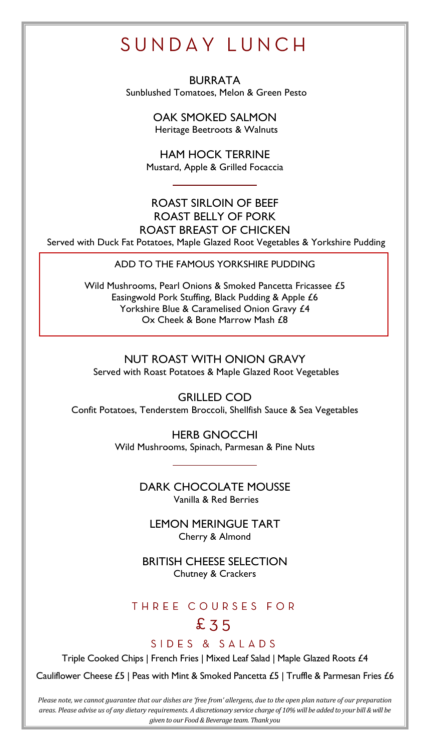# SUNDAY LUNCH

BURRATA Sunblushed Tomatoes, Melon & Green Pesto

> OAK SMOKED SALMON Heritage Beetroots & Walnuts

HAM HOCK TERRINE Mustard, Apple & Grilled Focaccia

#### ROAST SIRLOIN OF BEEF ROAST BELLY OF PORK ROAST BREAST OF CHICKEN Served with Duck Fat Potatoes, Maple Glazed Root Vegetables & Yorkshire Pudding

ADD TO THE FAMOUS YORKSHIRE PUDDING

Wild Mushrooms, Pearl Onions & Smoked Pancetta Fricassee £5 Easingwold Pork Stuffing, Black Pudding & Apple £6 Yorkshire Blue & Caramelised Onion Gravy £4 Ox Cheek & Bone Marrow Mash £8

#### NUT ROAST WITH ONION GRAVY Served with Roast Potatoes & Maple Glazed Root Vegetables

GRILLED COD Confit Potatoes, Tenderstem Broccoli, Shellfish Sauce & Sea Vegetables

> HERB GNOCCHI Wild Mushrooms, Spinach, Parmesan & Pine Nuts

> > DARK CHOCOLATE MOUSSE Vanilla & Red Berries

LEMON MERINGUE TART Cherry & Almond

BRITISH CHEESE SELECTION Chutney & Crackers

### THREE COURSES FOR

## $£35$

SIDES & SAIADS

Triple Cooked Chips | French Fries | Mixed Leaf Salad | Maple Glazed Roots £4

Cauliflower Cheese £5 | Peas with Mint & Smoked Pancetta £5 | Truffle & Parmesan Fries  $£6$ 

*Please note, we cannot guarantee that our dishes are 'free from' allergens, due to the open plan nature of our preparation areas. Please advise us of any dietary requirements. A discretionary service charge of 10% will be added to your bill & will be given to our Food & Beverage team. Thank you*